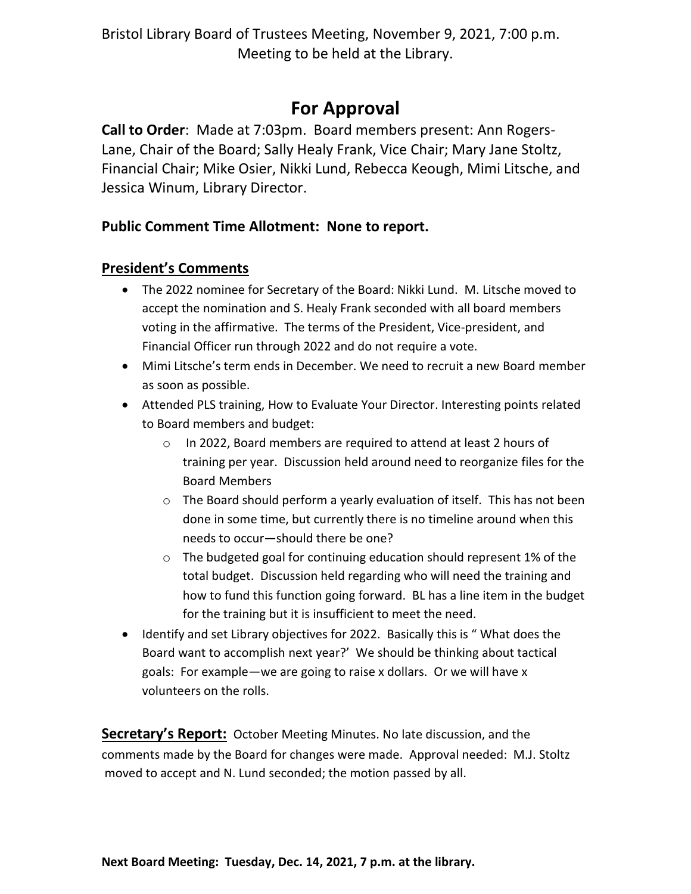Bristol Library Board of Trustees Meeting, November 9, 2021, 7:00 p.m. Meeting to be held at the Library.

## **For Approval**

**Call to Order**: Made at 7:03pm. Board members present: Ann Rogers-Lane, Chair of the Board; Sally Healy Frank, Vice Chair; Mary Jane Stoltz, Financial Chair; Mike Osier, Nikki Lund, Rebecca Keough, Mimi Litsche, and Jessica Winum, Library Director.

## **Public Comment Time Allotment: None to report.**

## **President's Comments**

- The 2022 nominee for Secretary of the Board: Nikki Lund. M. Litsche moved to accept the nomination and S. Healy Frank seconded with all board members voting in the affirmative. The terms of the President, Vice-president, and Financial Officer run through 2022 and do not require a vote.
- Mimi Litsche's term ends in December. We need to recruit a new Board member as soon as possible.
- Attended PLS training, How to Evaluate Your Director. Interesting points related to Board members and budget:
	- o In 2022, Board members are required to attend at least 2 hours of training per year. Discussion held around need to reorganize files for the Board Members
	- $\circ$  The Board should perform a yearly evaluation of itself. This has not been done in some time, but currently there is no timeline around when this needs to occur—should there be one?
	- o The budgeted goal for continuing education should represent 1% of the total budget. Discussion held regarding who will need the training and how to fund this function going forward. BL has a line item in the budget for the training but it is insufficient to meet the need.
- Identify and set Library objectives for 2022. Basically this is " What does the Board want to accomplish next year?' We should be thinking about tactical goals: For example—we are going to raise x dollars. Or we will have x volunteers on the rolls.

**Secretary's Report:** October Meeting Minutes. No late discussion, and the comments made by the Board for changes were made. Approval needed: M.J. Stoltz moved to accept and N. Lund seconded; the motion passed by all.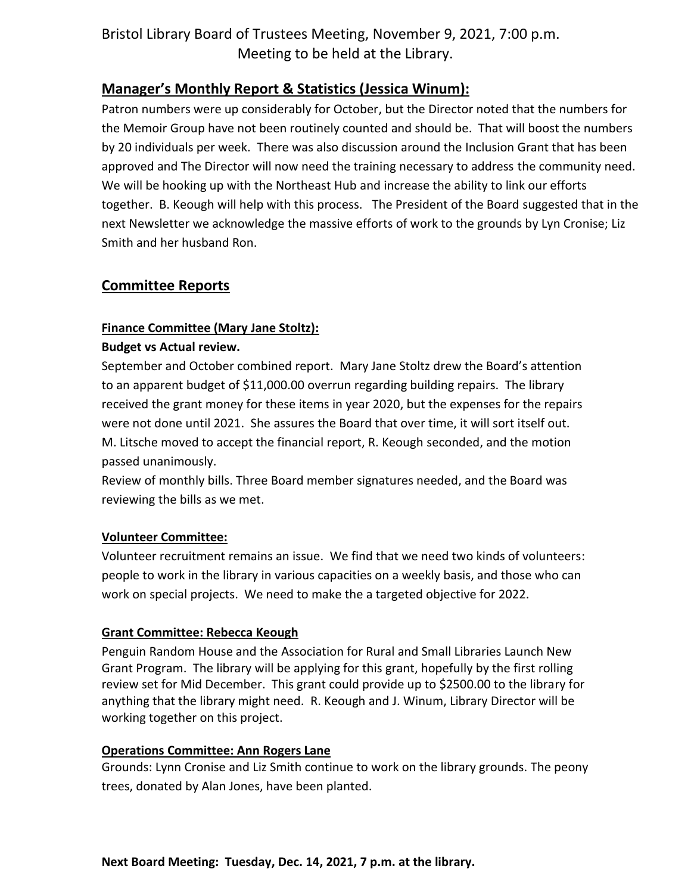## **Manager's Monthly Report & Statistics (Jessica Winum):**

Patron numbers were up considerably for October, but the Director noted that the numbers for the Memoir Group have not been routinely counted and should be. That will boost the numbers by 20 individuals per week. There was also discussion around the Inclusion Grant that has been approved and The Director will now need the training necessary to address the community need. We will be hooking up with the Northeast Hub and increase the ability to link our efforts together. B. Keough will help with this process. The President of the Board suggested that in the next Newsletter we acknowledge the massive efforts of work to the grounds by Lyn Cronise; Liz Smith and her husband Ron.

## **Committee Reports**

# **Finance Committee (Mary Jane Stoltz):**

#### **Budget vs Actual review.**

September and October combined report. Mary Jane Stoltz drew the Board's attention to an apparent budget of \$11,000.00 overrun regarding building repairs. The library received the grant money for these items in year 2020, but the expenses for the repairs were not done until 2021. She assures the Board that over time, it will sort itself out. M. Litsche moved to accept the financial report, R. Keough seconded, and the motion passed unanimously.

Review of monthly bills. Three Board member signatures needed, and the Board was reviewing the bills as we met.

#### **Volunteer Committee:**

Volunteer recruitment remains an issue. We find that we need two kinds of volunteers: people to work in the library in various capacities on a weekly basis, and those who can work on special projects. We need to make the a targeted objective for 2022.

#### **Grant Committee: Rebecca Keough**

Penguin Random House and the Association for Rural and Small Libraries Launch New Grant Program. The library will be applying for this grant, hopefully by the first rolling review set for Mid December. This grant could provide up to \$2500.00 to the library for anything that the library might need. R. Keough and J. Winum, Library Director will be working together on this project.

#### **Operations Committee: Ann Rogers Lane**

Grounds: Lynn Cronise and Liz Smith continue to work on the library grounds. The peony trees, donated by Alan Jones, have been planted.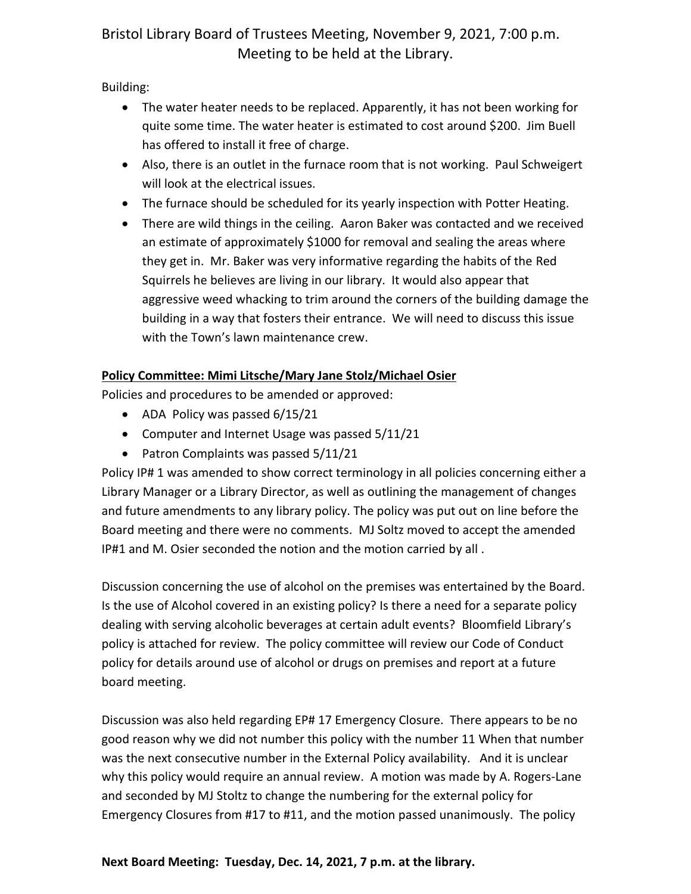Bristol Library Board of Trustees Meeting, November 9, 2021, 7:00 p.m. Meeting to be held at the Library.

Building:

- The water heater needs to be replaced. Apparently, it has not been working for quite some time. The water heater is estimated to cost around \$200. Jim Buell has offered to install it free of charge.
- Also, there is an outlet in the furnace room that is not working. Paul Schweigert will look at the electrical issues.
- The furnace should be scheduled for its yearly inspection with Potter Heating.
- There are wild things in the ceiling. Aaron Baker was contacted and we received an estimate of approximately \$1000 for removal and sealing the areas where they get in. Mr. Baker was very informative regarding the habits of the Red Squirrels he believes are living in our library. It would also appear that aggressive weed whacking to trim around the corners of the building damage the building in a way that fosters their entrance. We will need to discuss this issue with the Town's lawn maintenance crew.

#### **Policy Committee: Mimi Litsche/Mary Jane Stolz/Michael Osier**

Policies and procedures to be amended or approved:

- ADA Policy was passed 6/15/21
- Computer and Internet Usage was passed 5/11/21
- Patron Complaints was passed 5/11/21

Policy IP# 1 was amended to show correct terminology in all policies concerning either a Library Manager or a Library Director, as well as outlining the management of changes and future amendments to any library policy. The policy was put out on line before the Board meeting and there were no comments. MJ Soltz moved to accept the amended IP#1 and M. Osier seconded the notion and the motion carried by all .

Discussion concerning the use of alcohol on the premises was entertained by the Board. Is the use of Alcohol covered in an existing policy? Is there a need for a separate policy dealing with serving alcoholic beverages at certain adult events? Bloomfield Library's policy is attached for review. The policy committee will review our Code of Conduct policy for details around use of alcohol or drugs on premises and report at a future board meeting.

Discussion was also held regarding EP# 17 Emergency Closure. There appears to be no good reason why we did not number this policy with the number 11 When that number was the next consecutive number in the External Policy availability. And it is unclear why this policy would require an annual review. A motion was made by A. Rogers-Lane and seconded by MJ Stoltz to change the numbering for the external policy for Emergency Closures from #17 to #11, and the motion passed unanimously. The policy